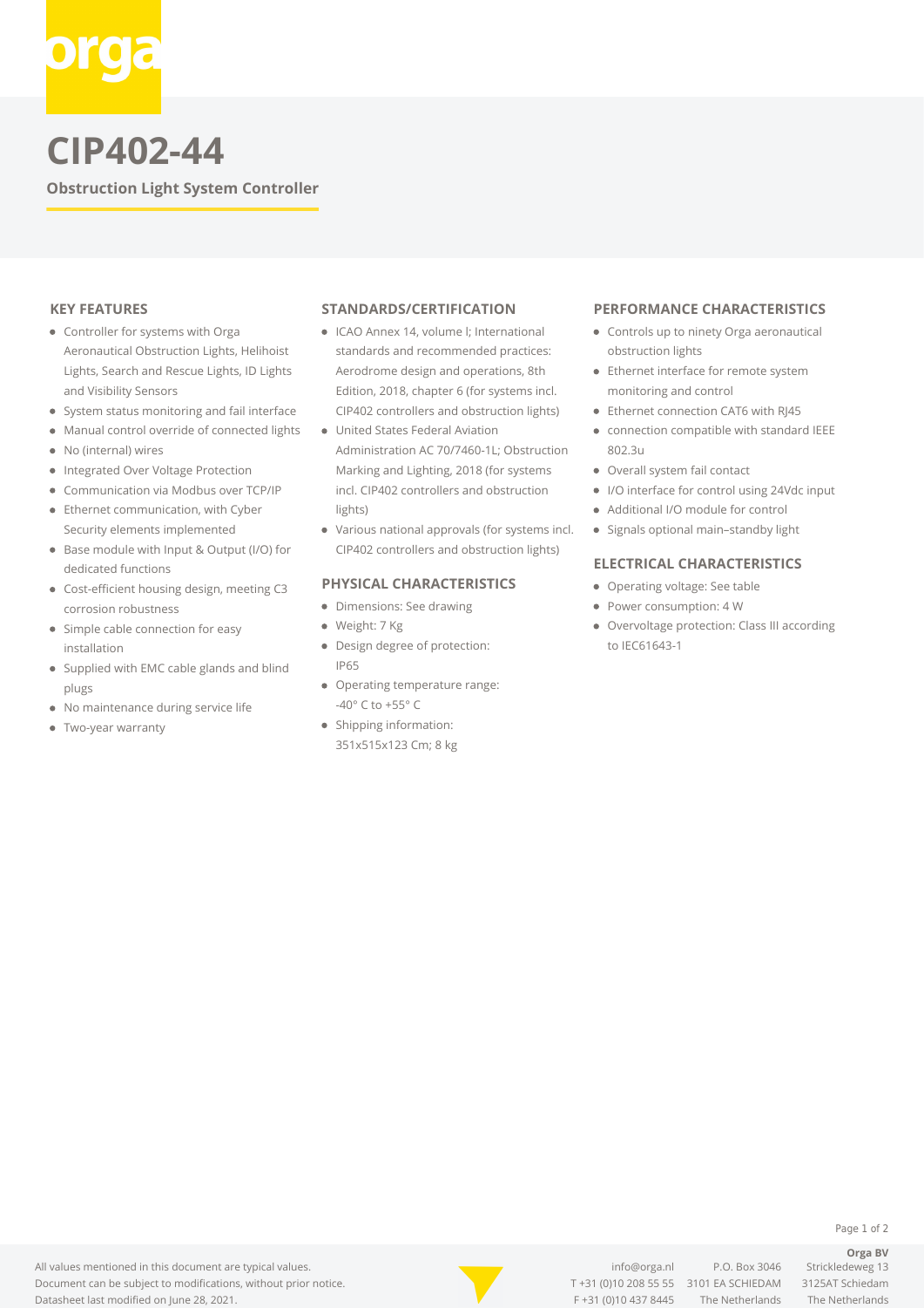

# **CIP402-44**

**Obstruction Light System Controller**

## **KEY FEATURES**

- Controller for systems with Orga Aeronautical Obstruction Lights, Helihoist Lights, Search and Rescue Lights, ID Lights and Visibility Sensors
- System status monitoring and fail interface
- $\bullet$ Manual control override of connected lights
- No (internal) wires
- Integrated Over Voltage Protection  $\bullet$
- Communication via Modbus over TCP/IP  $\bullet$
- Ethernet communication, with Cyber Security elements implemented
- Base module with Input & Output (I/O) for dedicated functions
- Cost-efficient housing design, meeting C3 corrosion robustness
- Simple cable connection for easy installation
- Supplied with EMC cable glands and blind plugs
- No maintenance during service life
- Two-year warranty

#### **STANDARDS/CERTIFICATION**

- ICAO Annex 14, volume l; International standards and recommended practices: Aerodrome design and operations, 8th Edition, 2018, chapter 6 (for systems incl. CIP402 controllers and obstruction lights)
- United States Federal Aviation
- Administration AC 70/7460-1L; Obstruction Marking and Lighting, 2018 (for systems incl. CIP402 controllers and obstruction lights)
- Various national approvals (for systems incl. CIP402 controllers and obstruction lights)

## **PHYSICAL CHARACTERISTICS**

- Dimensions: See drawing
- Weight: 7 Kg
- Design degree of protection: IP65
- Operating temperature range: -40° C to +55° C
- Shipping information: 351x515x123 Cm; 8 kg

#### **PERFORMANCE CHARACTERISTICS**

- Controls up to ninety Orga aeronautical obstruction lights
- Ethernet interface for remote system monitoring and control
- Ethernet connection CAT6 with RI45
- connection compatible with standard IEEE 802.3u
- Overall system fail contact
- I/O interface for control using 24Vdc input
- Additional I/O module for control
- Signals optional main-standby light

## **ELECTRICAL CHARACTERISTICS**

- Operating voltage: See table
- Power consumption: 4 W
- Overvoltage protection: Class III according to IEC61643-1



T [+31 \(0\)10 208 55 55](#page--1-0) 3101 EA SCHIEDAM 3125AT Schiedam F +31 (0)10 437 8445 The Netherlands The Netherlands

[info@orga.nl](mailto:info@orga.nl) P.O. Box 3046 Strickledeweg 13

**Orga BV**

Page 1 of 2